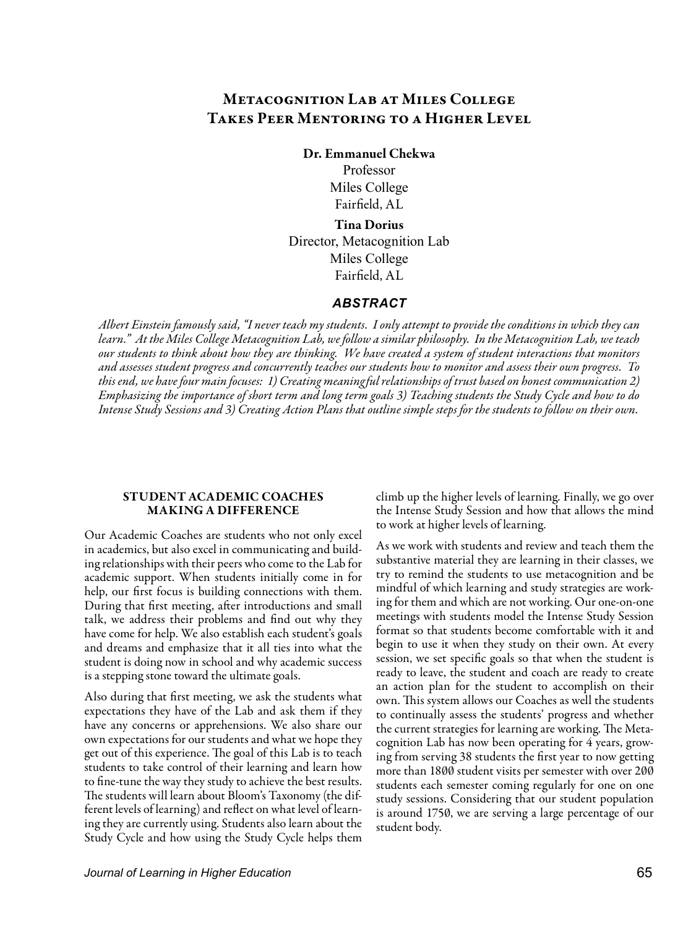# Metacognition Lab at Miles College Takes Peer Mentoring to a Higher Level

Dr. Emmanuel Chekwa

Professor Miles College Fairfield, AL

Tina Dorius Director, Metacognition Lab Miles College Fairfield, AL

## *ABSTRACT*

*Albert Einstein famously said, "I never teach my students. I only attempt to provide the conditions in which they can learn." At the Miles College Metacognition Lab, we follow a similar philosophy. In the Metacognition Lab, we teach our students to think about how they are thinking. We have created a system of student interactions that monitors and assesses student progress and concurrently teaches our students how to monitor and assess their own progress. To this end, we have four main focuses: 1) Creating meaningful relationships of trust based on honest communication 2) Emphasizing the importance of short term and long term goals 3) Teaching students the Study Cycle and how to do Intense Study Sessions and 3) Creating Action Plans that outline simple steps for the students to follow on their own.* 

#### STUDENT ACADEMIC COACHES MAKING A DIFFERENCE

Our Academic Coaches are students who not only excel in academics, but also excel in communicating and building relationships with their peers who come to the Lab for academic support. When students initially come in for help, our first focus is building connections with them. During that first meeting, after introductions and small talk, we address their problems and find out why they have come for help. We also establish each student's goals and dreams and emphasize that it all ties into what the student is doing now in school and why academic success is a stepping stone toward the ultimate goals.

Also during that first meeting, we ask the students what expectations they have of the Lab and ask them if they have any concerns or apprehensions. We also share our own expectations for our students and what we hope they get out of this experience. The goal of this Lab is to teach students to take control of their learning and learn how to fine-tune the way they study to achieve the best results. The students will learn about Bloom's Taxonomy (the different levels of learning) and reflect on what level of learning they are currently using. Students also learn about the Study Cycle and how using the Study Cycle helps them

climb up the higher levels of learning. Finally, we go over the Intense Study Session and how that allows the mind to work at higher levels of learning.

As we work with students and review and teach them the substantive material they are learning in their classes, we try to remind the students to use metacognition and be mindful of which learning and study strategies are working for them and which are not working. Our one-on-one meetings with students model the Intense Study Session format so that students become comfortable with it and begin to use it when they study on their own. At every session, we set specific goals so that when the student is ready to leave, the student and coach are ready to create an action plan for the student to accomplish on their own. This system allows our Coaches as well the students to continually assess the students' progress and whether the current strategies for learning are working. The Metacognition Lab has now been operating for 4 years, growing from serving 38 students the first year to now getting more than 1800 student visits per semester with over 200 students each semester coming regularly for one on one study sessions. Considering that our student population is around 1750, we are serving a large percentage of our student body.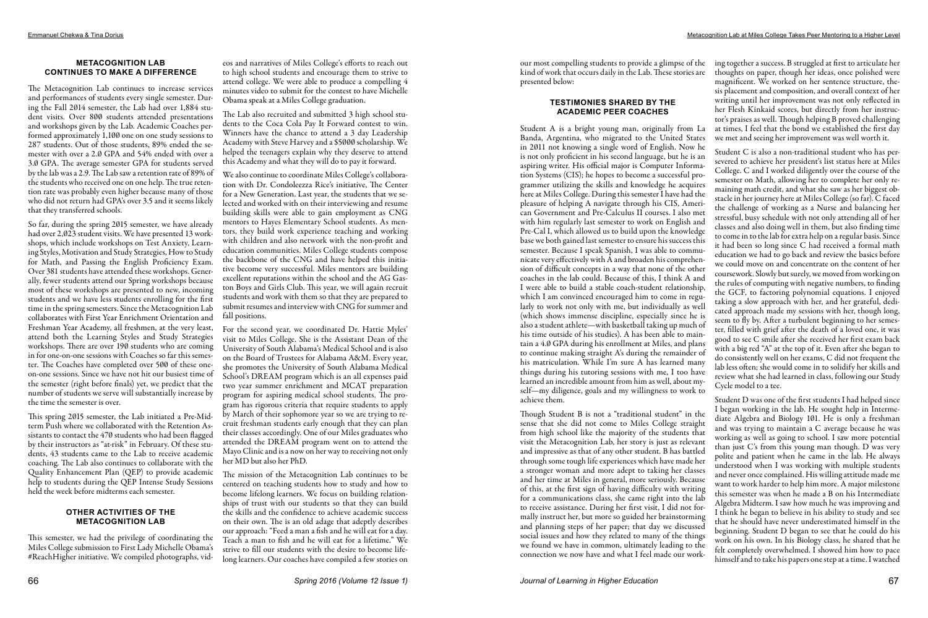### **METACOGNITION LAB CONTINUES TO MAKE A DIFFERENCE**

The Metacognition Lab continues to increase services and performances of students every single semester. During the Fall 2014 semester, the Lab had over 1,884 student visits. Over 800 students attended presentations and workshops given by the Lab. Academic Coaches performed approximately 1,100 one on one study sessions to 287 students. Out of those students, 89% ended the semester with over a 2.0 GPA and 54% ended with over a 3.0 GPA. The average semester GPA for students served by the lab was a 2.9. The Lab saw a retention rate of 89% of the students who received one on one help. The true retention rate was probably even higher because many of those who did not return had GPA's over 3.5 and it seems likely that they transferred schools.

So far, during the spring 2015 semester, we have already had over 2,023 student visits. We have presented 13 workshops, which include workshops on Test Anxiety, Learning Styles, Motivation and Study Strategies, How to Study for Math, and Passing the English Proficiency Exam. Over 381 students have attended these workshops. Generally, fewer students attend our Spring workshops because most of these workshops are presented to new, incoming students and we have less students enrolling for the first time in the spring semesters. Since the Metacognition Lab collaborates with First Year Enrichment Orientation and Freshman Year Academy, all freshmen, at the very least, attend both the Learning Styles and Study Strategies workshops. There are over 190 students who are coming in for one-on-one sessions with Coaches so far this semester. The Coaches have completed over 500 of these oneon-one sessions. Since we have not hit our busiest time of the semester (right before finals) yet, we predict that the number of students we serve will substantially increase by the time the semester is over.

This spring 2015 semester, the Lab initiated a Pre-Midterm Push where we collaborated with the Retention Assistants to contact the 470 students who had been flagged by their instructors as "at-risk" in February. Of these students, 43 students came to the Lab to receive academic coaching. The Lab also continues to collaborate with the Quality Enhancement Plan (QEP) to provide academic help to students during the QEP Intense Study Sessions held the week before midterms each semester.

# **OTHER ACTIVITIES OF THE METACOGNITION LAB**

This semester, we had the privilege of coordinating the Miles College submission to First Lady Michelle Obama's #ReachHigher initiative. We compiled photographs, vid-

eos and narratives of Miles College's efforts to reach out to high school students and encourage them to strive to attend college. We were able to produce a compelling 4 minutes video to submit for the contest to have Michelle Obama speak at a Miles College graduation.

The Lab also recruited and submitted 3 high school students to the Coca Cola Pay It Forward contest to win. Winners have the chance to attend a 3 day Leadership Academy with Steve Harvey and a \$5000 scholarship. We helped the teenagers explain why they deserve to attend this Academy and what they will do to pay it forward.

We also continue to coordinate Miles College's collaboration with Dr. Condoleezza Rice's initiative, The Center for a New Generation. Last year, the students that we selected and worked with on their interviewing and resume building skills were able to gain employment as CNG mentors to Hayes Elementary School students. As mentors, they build work experience teaching and working with children and also network with the non-profit and education communities. Miles College students compose the backbone of the CNG and have helped this initiative become very successful. Miles mentors are building excellent reputations within the school and the AG Gaston Boys and Girls Club. This year, we will again recruit students and work with them so that they are prepared to submit resumes and interview with CNG for summer and fall positions.

For the second year, we coordinated Dr. Hattie Myles' visit to Miles College. She is the Assistant Dean of the University of South Alabama's Medical School and is also on the Board of Trustees for Alabama A&M. Every year, she promotes the University of South Alabama Medical School's DREAM program which is an all expenses paid two year summer enrichment and MCAT preparation program for aspiring medical school students. The program has rigorous criteria that require students to apply by March of their sophomore year so we are trying to recruit freshman students early enough that they can plan their classes accordingly. One of our Miles graduates who attended the DREAM program went on to attend the Mayo Clinic and is a now on her way to receiving not only her MD but also her PhD.

The mission of the Metacognition Lab continues to be centered on teaching students how to study and how to become lifelong learners. We focus on building relationships of trust with our students so that they can build the skills and the confidence to achieve academic success on their own. The is an old adage that adeptly describes our approach: "Feed a man a fish and he will eat for a day. Teach a man to fish and he will eat for a lifetime." We strive to fill our students with the desire to become lifelong learners. Our coaches have compiled a few stories on

#### **TESTIMONIES SHARED BY THE ACADEMIC PEER COACHES**

our most compelling students to provide a glimpse of the ing together a success. B struggled at first to articulate her kind of work that occurs daily in the Lab. These stories are presented below: thoughts on paper, though her ideas, once polished were

Student A is a bright young man, originally from La Banda, Argentina, who migrated to the United States in 2011 not knowing a single word of English. Now he is not only proficient in his second language, but he is an aspiring writer. His official major is Computer Information Systems (CIS); he hopes to become a successful programmer utilizing the skills and knowledge he acquires here at Miles College. During this semester I have had the pleasure of helping A navigate through his CIS, American Government and Pre-Calculus II courses. I also met with him regularly last semester to work on English and Pre-Cal I, which allowed us to build upon the knowledge base we both gained last semester to ensure his success this semester. Because I speak Spanish, I was able to communicate very effectively with A and broaden his comprehension of difficult concepts in a way that none of the other coaches in the lab could. Because of this, I think A and I were able to build a stable coach-student relationship, which I am convinced encouraged him to come in regularly to work not only with me, but individually as well (which shows immense discipline, especially since he is also a student athlete—with basketball taking up much of his time outside of his studies). A has been able to maintain a 4.0 GPA during his enrollment at Miles, and plans to continue making straight A's during the remainder of his matriculation. While I'm sure A has learned many things during his tutoring sessions with me, I too have learned an incredible amount from him as well, about myself—my diligence, goals and my willingness to work to achieve them. we met and seeing her improvement was well worth it. Student C is also a non-traditional student who has persevered to achieve her president's list status here at Miles College. C and I worked diligently over the course of the semester on Math, allowing her to complete her only remaining math credit, and what she saw as her biggest obstacle in her journey here at Miles College (so far). C faced the challenge of working as a Nurse and balancing her stressful, busy schedule with not only attending all of her classes and also doing well in them, but also finding time to come in to the lab for extra help on a regular basis. Since it had been so long since C had received a formal math education we had to go back and review the basics before we could move on and concentrate on the content of her coursework. Slowly but surely, we moved from working on the rules of computing with negative numbers, to finding the GCF, to factoring polynomial equations. I enjoyed taking a slow approach with her, and her grateful, dedicated approach made my sessions with her, though long, seem to fly by. After a turbulent beginning to her semester, filled with grief after the death of a loved one, it was good to see C smile after she received her first exam back with a big red "A" at the top of it. Even after she began to do consistently well on her exams, C did not frequent the lab less often; she would come in to solidify her skills and review what she had learned in class, following our Study Cycle model to a tee. Student D was one of the first students I had helped since

magnificent. We worked on her sentence structure, thesis placement and composition, and overall context of her writing until her improvement was not only reflected in her Flesh Kinkaid scores, but directly from her instructor's praises as well. Though helping B proved challenging at times, I feel that the bond we established the first day

Though Student B is not a "traditional student" in the sense that she did not come to Miles College straight from high school like the majority of the students that visit the Metacognition Lab, her story is just as relevant and impressive as that of any other student. B has battled through some tough life experiences which have made her a stronger woman and more adept to taking her classes and her time at Miles in general, more seriously. Because of this, at the first sign of having difficulty with writing for a communications class, she came right into the lab to receive assistance. During her first visit, I did not formally instruct her, but more so guided her brainstorming and planning steps of her paper; that day we discussed social issues and how they related to many of the things we found we have in common, ultimately leading to the connection we now have and what I feel made our work-I began working in the lab. He sought help in Intermediate Algebra and Biology 101. He is only a freshman and was trying to maintain a C average because he was working as well as going to school. I saw more potential than just C's from this young man though. D was very polite and patient when he came in the lab. He always understood when I was working with multiple students and never once complained. His willing attitude made me want to work harder to help him more. A major milestone this semester was when he made a B on his Intermediate Algebra Midterm. I saw how much he was improving and I think he began to believe in his ability to study and see that he should have never underestimated himself in the beginning. Student D began to see that he could do his work on his own. In his Biology class, he shared that he felt completely overwhelmed. I showed him how to pace himself and to take his papers one step at a time. I watched